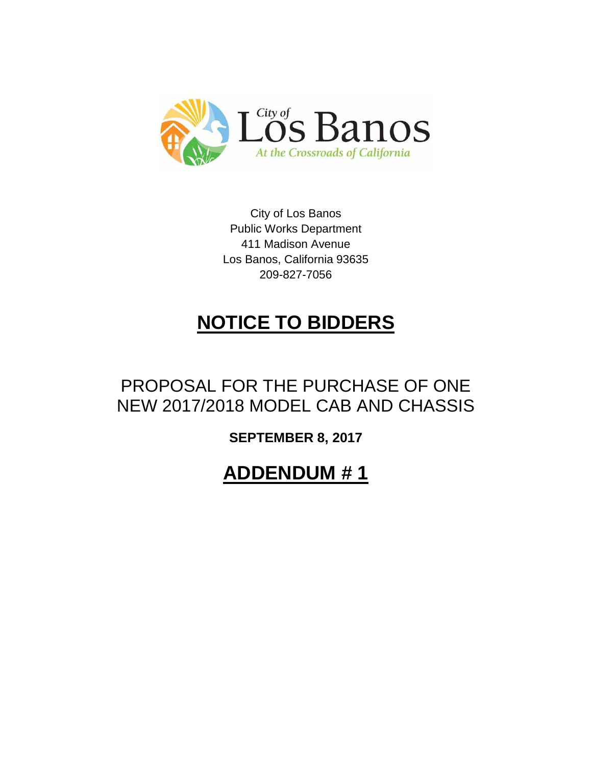

City of Los Banos Public Works Department 411 Madison Avenue Los Banos, California 93635 209-827-7056

## **NOTICE TO BIDDERS**

## PROPOSAL FOR THE PURCHASE OF ONE NEW 2017/2018 MODEL CAB AND CHASSIS

**SEPTEMBER 8, 2017**

**ADDENDUM # 1**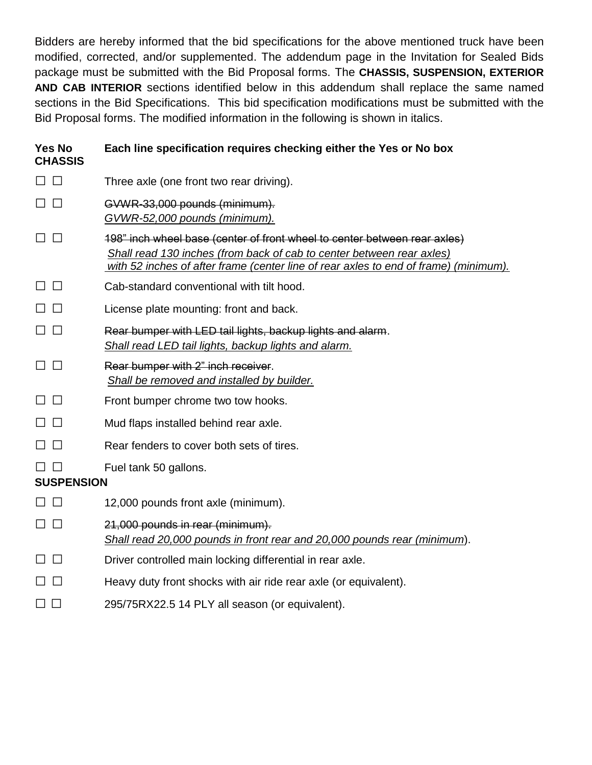Bidders are hereby informed that the bid specifications for the above mentioned truck have been modified, corrected, and/or supplemented. The addendum page in the Invitation for Sealed Bids package must be submitted with the Bid Proposal forms. The **CHASSIS, SUSPENSION, EXTERIOR AND CAB INTERIOR** sections identified below in this addendum shall replace the same named sections in the Bid Specifications. This bid specification modifications must be submitted with the Bid Proposal forms. The modified information in the following is shown in italics.

| <b>Yes No</b><br><b>CHASSIS</b> | Each line specification requires checking either the Yes or No box                                                                                                                                                                         |
|---------------------------------|--------------------------------------------------------------------------------------------------------------------------------------------------------------------------------------------------------------------------------------------|
| $\Box$                          | Three axle (one front two rear driving).                                                                                                                                                                                                   |
| $\perp$                         | GVWR-33,000 pounds (minimum).<br>GVWR-52,000 pounds (minimum).                                                                                                                                                                             |
|                                 | 198" inch wheel base (center of front wheel to center between rear axles)<br>Shall read 130 inches (from back of cab to center between rear axles)<br>with 52 inches of after frame (center line of rear axles to end of frame) (minimum). |
| $\perp$                         | Cab-standard conventional with tilt hood.                                                                                                                                                                                                  |
| $\mathbf{1}$                    | License plate mounting: front and back.                                                                                                                                                                                                    |
| $\perp$                         | Rear bumper with LED tail lights, backup lights and alarm.<br>Shall read LED tail lights, backup lights and alarm.                                                                                                                         |
| $\mathsf{L}$                    | Rear bumper with 2" inch receiver.<br>Shall be removed and installed by builder.                                                                                                                                                           |
| $\Box$                          | Front bumper chrome two tow hooks.                                                                                                                                                                                                         |
|                                 | Mud flaps installed behind rear axle.                                                                                                                                                                                                      |
| $\perp$                         | Rear fenders to cover both sets of tires.                                                                                                                                                                                                  |
| <b>SUSPENSION</b>               | Fuel tank 50 gallons.                                                                                                                                                                                                                      |
| $\Box$                          | 12,000 pounds front axle (minimum).                                                                                                                                                                                                        |
| $\perp$                         | 21,000 pounds in rear (minimum).<br>Shall read 20,000 pounds in front rear and 20,000 pounds rear (minimum).                                                                                                                               |
| $\mathbf{1}$                    | Driver controlled main locking differential in rear axle.                                                                                                                                                                                  |
|                                 | Heavy duty front shocks with air ride rear axle (or equivalent).                                                                                                                                                                           |
| $\perp$                         | 295/75RX22.5 14 PLY all season (or equivalent).                                                                                                                                                                                            |